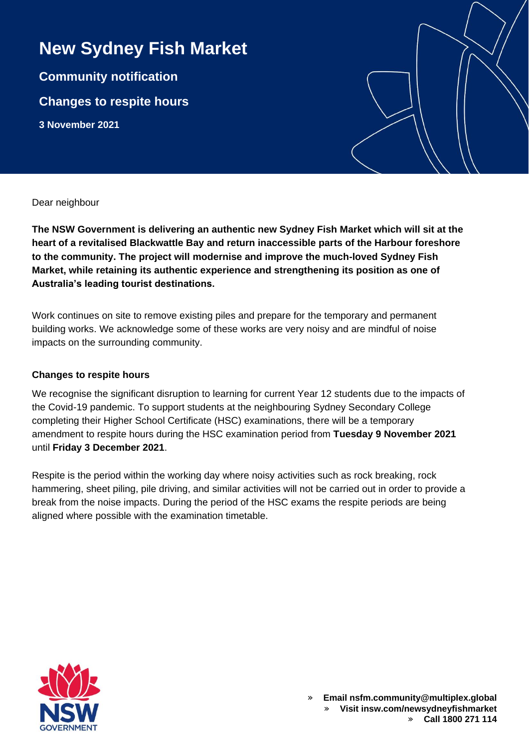## **New Sydney Fish Market**

**Community notification Changes to respite hours 3 November 2021**

Dear neighbour

**The NSW Government is delivering an authentic new Sydney Fish Market which will sit at the heart of a revitalised Blackwattle Bay and return inaccessible parts of the Harbour foreshore to the community. The project will modernise and improve the much-loved Sydney Fish Market, while retaining its authentic experience and strengthening its position as one of Australia's leading tourist destinations.**

Work continues on site to remove existing piles and prepare for the temporary and permanent building works. We acknowledge some of these works are very noisy and are mindful of noise impacts on the surrounding community.

## **Changes to respite hours**

We recognise the significant disruption to learning for current Year 12 students due to the impacts of the Covid-19 pandemic. To support students at the neighbouring Sydney Secondary College completing their Higher School Certificate (HSC) examinations, there will be a temporary amendment to respite hours during the HSC examination period from **Tuesday 9 November 2021** until **Friday 3 December 2021**.

Respite is the period within the working day where noisy activities such as rock breaking, rock hammering, sheet piling, pile driving, and similar activities will not be carried out in order to provide a break from the noise impacts. During the period of the HSC exams the respite periods are being aligned where possible with the examination timetable.